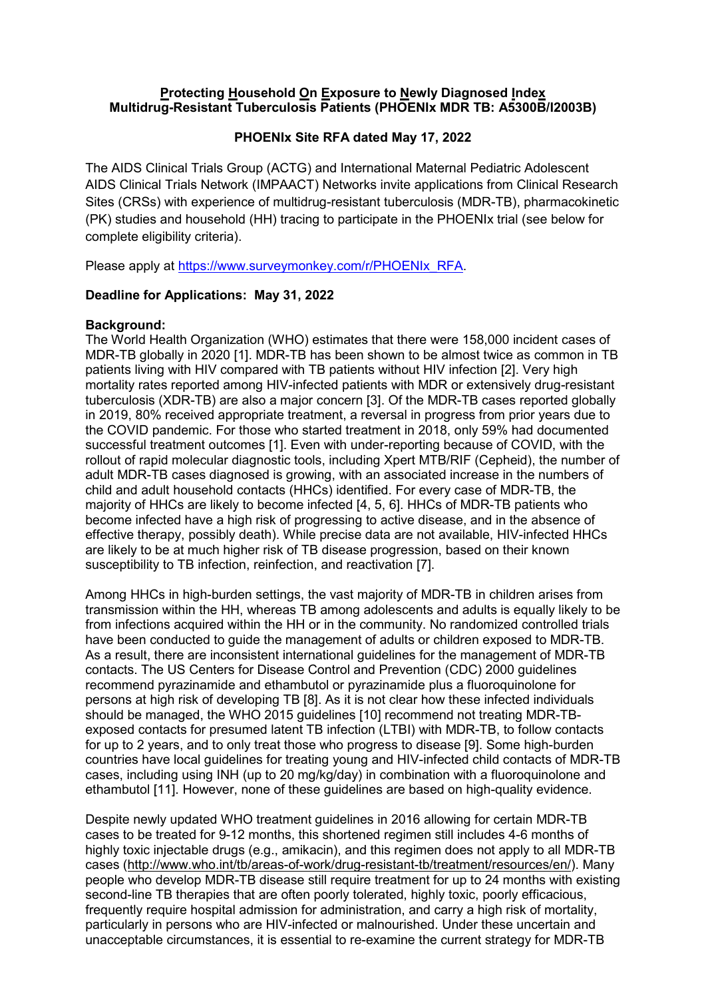### **Protecting Household On Exposure to Newly Diagnosed Index Multidrug-Resistant Tuberculosis Patients (PHOENIx MDR TB: A5300B/I2003B)**

# **PHOENIx Site RFA dated May 17, 2022**

The AIDS Clinical Trials Group (ACTG) and International Maternal Pediatric Adolescent AIDS Clinical Trials Network (IMPAACT) Networks invite applications from Clinical Research Sites (CRSs) with experience of multidrug-resistant tuberculosis (MDR-TB), pharmacokinetic (PK) studies and household (HH) tracing to participate in the PHOENIx trial (see below for complete eligibility criteria).

Please apply at [https://www.surveymonkey.com/r/PHOENIx\\_RFA.](https://www.surveymonkey.com/r/PHOENIx_RFA)

## **Deadline for Applications: May 31, 2022**

### **Background:**

The World Health Organization (WHO) estimates that there were 158,000 incident cases of MDR-TB globally in 2020 [1]. MDR-TB has been shown to be almost twice as common in TB patients living with HIV compared with TB patients without HIV infection [2]. Very high mortality rates reported among HIV-infected patients with MDR or extensively drug-resistant tuberculosis (XDR-TB) are also a major concern [3]. Of the MDR-TB cases reported globally in 2019, 80% received appropriate treatment, a reversal in progress from prior years due to the COVID pandemic. For those who started treatment in 2018, only 59% had documented successful treatment outcomes [1]. Even with under-reporting because of COVID, with the rollout of rapid molecular diagnostic tools, including Xpert MTB/RIF (Cepheid), the number of adult MDR-TB cases diagnosed is growing, with an associated increase in the numbers of child and adult household contacts (HHCs) identified. For every case of MDR-TB, the majority of HHCs are likely to become infected [4, 5, 6]. HHCs of MDR-TB patients who become infected have a high risk of progressing to active disease, and in the absence of effective therapy, possibly death). While precise data are not available, HIV-infected HHCs are likely to be at much higher risk of TB disease progression, based on their known susceptibility to TB infection, reinfection, and reactivation [7].

Among HHCs in high-burden settings, the vast majority of MDR-TB in children arises from transmission within the HH, whereas TB among adolescents and adults is equally likely to be from infections acquired within the HH or in the community. No randomized controlled trials have been conducted to guide the management of adults or children exposed to MDR-TB. As a result, there are inconsistent international guidelines for the management of MDR-TB contacts. The US Centers for Disease Control and Prevention (CDC) 2000 guidelines recommend pyrazinamide and ethambutol or pyrazinamide plus a fluoroquinolone for persons at high risk of developing TB [8]. As it is not clear how these infected individuals should be managed, the WHO 2015 guidelines [10] recommend not treating MDR-TBexposed contacts for presumed latent TB infection (LTBI) with MDR-TB, to follow contacts for up to 2 years, and to only treat those who progress to disease [9]. Some high-burden countries have local guidelines for treating young and HIV-infected child contacts of MDR-TB cases, including using INH (up to 20 mg/kg/day) in combination with a fluoroquinolone and ethambutol [11]. However, none of these guidelines are based on high-quality evidence.

Despite newly updated WHO treatment guidelines in 2016 allowing for certain MDR-TB cases to be treated for 9-12 months, this shortened regimen still includes 4-6 months of highly toxic injectable drugs (e.g., amikacin), and this regimen does not apply to all MDR-TB cases (http://www.who.int/tb/areas-of-work/drug-resistant-tb/treatment/resources/en/). Many people who develop MDR-TB disease still require treatment for up to 24 months with existing second-line TB therapies that are often poorly tolerated, highly toxic, poorly efficacious, frequently require hospital admission for administration, and carry a high risk of mortality, particularly in persons who are HIV-infected or malnourished. Under these uncertain and unacceptable circumstances, it is essential to re-examine the current strategy for MDR-TB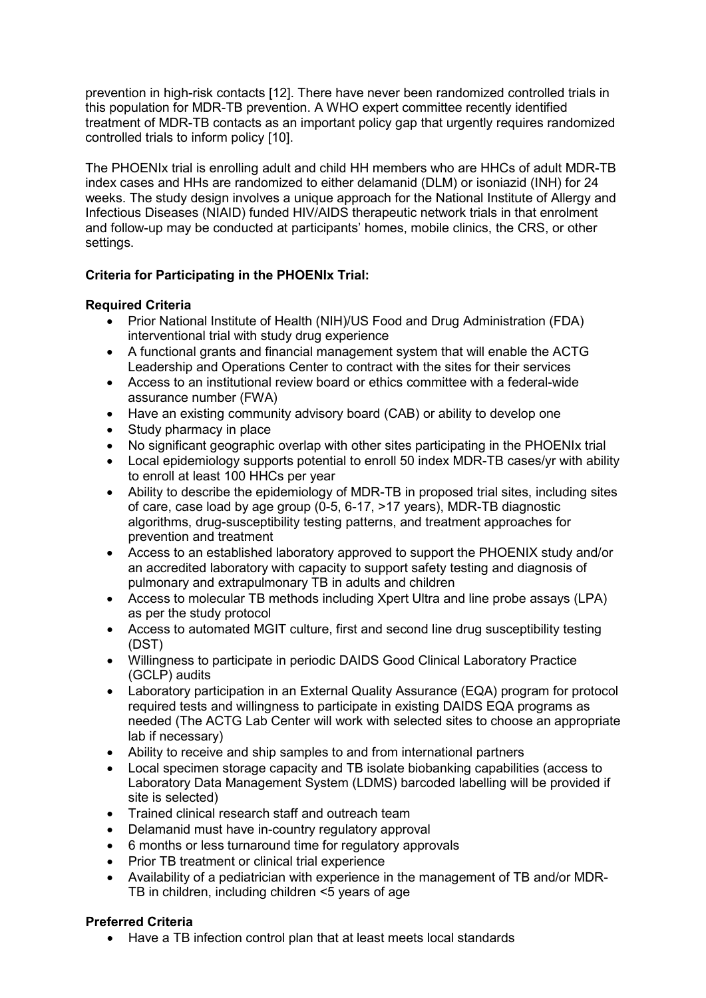prevention in high-risk contacts [12]. There have never been randomized controlled trials in this population for MDR-TB prevention. A WHO expert committee recently identified treatment of MDR-TB contacts as an important policy gap that urgently requires randomized controlled trials to inform policy [10].

The PHOENIx trial is enrolling adult and child HH members who are HHCs of adult MDR-TB index cases and HHs are randomized to either delamanid (DLM) or isoniazid (INH) for 24 weeks. The study design involves a unique approach for the National Institute of Allergy and Infectious Diseases (NIAID) funded HIV/AIDS therapeutic network trials in that enrolment and follow-up may be conducted at participants' homes, mobile clinics, the CRS, or other settings.

# **Criteria for Participating in the PHOENIx Trial:**

# **Required Criteria**

- Prior National Institute of Health (NIH)/US Food and Drug Administration (FDA) interventional trial with study drug experience
- A functional grants and financial management system that will enable the ACTG Leadership and Operations Center to contract with the sites for their services
- Access to an institutional review board or ethics committee with a federal-wide assurance number (FWA)
- Have an existing community advisory board (CAB) or ability to develop one
- Study pharmacy in place
- No significant geographic overlap with other sites participating in the PHOENIx trial
- Local epidemiology supports potential to enroll 50 index MDR-TB cases/yr with ability to enroll at least 100 HHCs per year
- Ability to describe the epidemiology of MDR-TB in proposed trial sites, including sites of care, case load by age group (0-5, 6-17, >17 years), MDR-TB diagnostic algorithms, drug-susceptibility testing patterns, and treatment approaches for prevention and treatment
- Access to an established laboratory approved to support the PHOENIX study and/or an accredited laboratory with capacity to support safety testing and diagnosis of pulmonary and extrapulmonary TB in adults and children
- Access to molecular TB methods including Xpert Ultra and line probe assays (LPA) as per the study protocol
- Access to automated MGIT culture, first and second line drug susceptibility testing (DST)
- Willingness to participate in periodic DAIDS Good Clinical Laboratory Practice (GCLP) audits
- Laboratory participation in an External Quality Assurance (EQA) program for protocol required tests and willingness to participate in existing DAIDS EQA programs as needed (The ACTG Lab Center will work with selected sites to choose an appropriate lab if necessary)
- Ability to receive and ship samples to and from international partners
- Local specimen storage capacity and TB isolate biobanking capabilities (access to Laboratory Data Management System (LDMS) barcoded labelling will be provided if site is selected)
- Trained clinical research staff and outreach team
- Delamanid must have in-country regulatory approval
- 6 months or less turnaround time for regulatory approvals
- Prior TB treatment or clinical trial experience
- Availability of a pediatrician with experience in the management of TB and/or MDR-TB in children, including children <5 years of age

### **Preferred Criteria**

• Have a TB infection control plan that at least meets local standards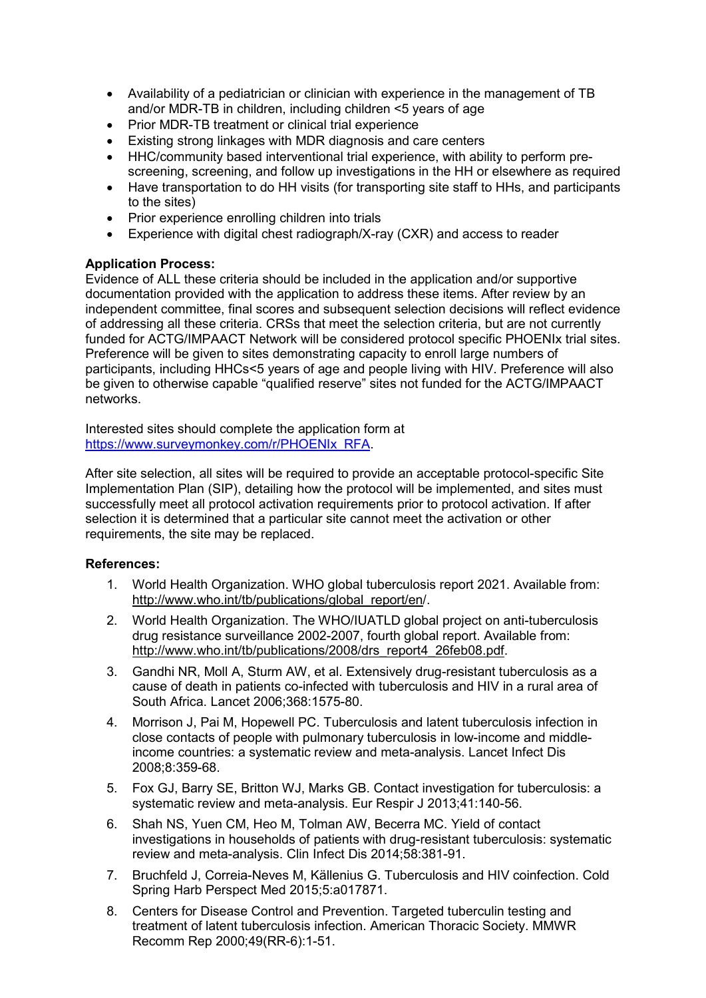- Availability of a pediatrician or clinician with experience in the management of TB and/or MDR-TB in children, including children <5 years of age
- Prior MDR-TB treatment or clinical trial experience
- Existing strong linkages with MDR diagnosis and care centers
- HHC/community based interventional trial experience, with ability to perform pre-
- screening, screening, and follow up investigations in the HH or elsewhere as required • Have transportation to do HH visits (for transporting site staff to HHs, and participants to the sites)
- Prior experience enrolling children into trials
- Experience with digital chest radiograph/X-ray (CXR) and access to reader

## **Application Process:**

Evidence of ALL these criteria should be included in the application and/or supportive documentation provided with the application to address these items. After review by an independent committee, final scores and subsequent selection decisions will reflect evidence of addressing all these criteria. CRSs that meet the selection criteria, but are not currently funded for ACTG/IMPAACT Network will be considered protocol specific PHOENIx trial sites. Preference will be given to sites demonstrating capacity to enroll large numbers of participants, including HHCs<5 years of age and people living with HIV. Preference will also be given to otherwise capable "qualified reserve" sites not funded for the ACTG/IMPAACT networks.

Interested sites should complete the application form at [https://www.surveymonkey.com/r/PHOENIx\\_RFA.](https://www.surveymonkey.com/r/PHOENIx_RFA)

After site selection, all sites will be required to provide an acceptable protocol-specific Site Implementation Plan (SIP), detailing how the protocol will be implemented, and sites must successfully meet all protocol activation requirements prior to protocol activation. If after selection it is determined that a particular site cannot meet the activation or other requirements, the site may be replaced.

### **References:**

- 1. World Health Organization. WHO global tuberculosis report 2021. Available from: http://www.who.int/tb/publications/global\_report/en/.
- 2. World Health Organization. The WHO/IUATLD global project on anti-tuberculosis drug resistance surveillance 2002-2007, fourth global report. Available from: http://www.who.int/tb/publications/2008/drs\_report4\_26feb08.pdf.
- 3. Gandhi NR, Moll A, Sturm AW, et al. Extensively drug-resistant tuberculosis as a cause of death in patients co-infected with tuberculosis and HIV in a rural area of South Africa. Lancet 2006;368:1575-80.
- 4. Morrison J, Pai M, Hopewell PC. Tuberculosis and latent tuberculosis infection in close contacts of people with pulmonary tuberculosis in low-income and middleincome countries: a systematic review and meta-analysis. Lancet Infect Dis 2008;8:359-68.
- 5. Fox GJ, Barry SE, Britton WJ, Marks GB. Contact investigation for tuberculosis: a systematic review and meta-analysis. Eur Respir J 2013;41:140-56.
- 6. Shah NS, Yuen CM, Heo M, Tolman AW, Becerra MC. Yield of contact investigations in households of patients with drug-resistant tuberculosis: systematic review and meta-analysis. Clin Infect Dis 2014;58:381-91.
- 7. Bruchfeld J, [Correia-Neves M,](http://www.ncbi.nlm.nih.gov/pubmed/?term=Correia-Neves%20M%5BAuthor%5D&cauthor=true&cauthor_uid=25722472) [Källenius G.](http://www.ncbi.nlm.nih.gov/pubmed/?term=K%C3%A4llenius%20G%5BAuthor%5D&cauthor=true&cauthor_uid=25722472) Tuberculosis and HIV coinfection. [Cold](http://www.ncbi.nlm.nih.gov/pubmed/25722472)  [Spring Harb Perspect Med](http://www.ncbi.nlm.nih.gov/pubmed/25722472) 2015;5:a017871.
- 8. Centers for Disease Control and Prevention. Targeted tuberculin testing and treatment of latent tuberculosis infection. American Thoracic Society. [MMWR](http://www.ncbi.nlm.nih.gov/pubmed/10881762)  [Recomm Rep](http://www.ncbi.nlm.nih.gov/pubmed/10881762) 2000;49(RR-6):1-51.